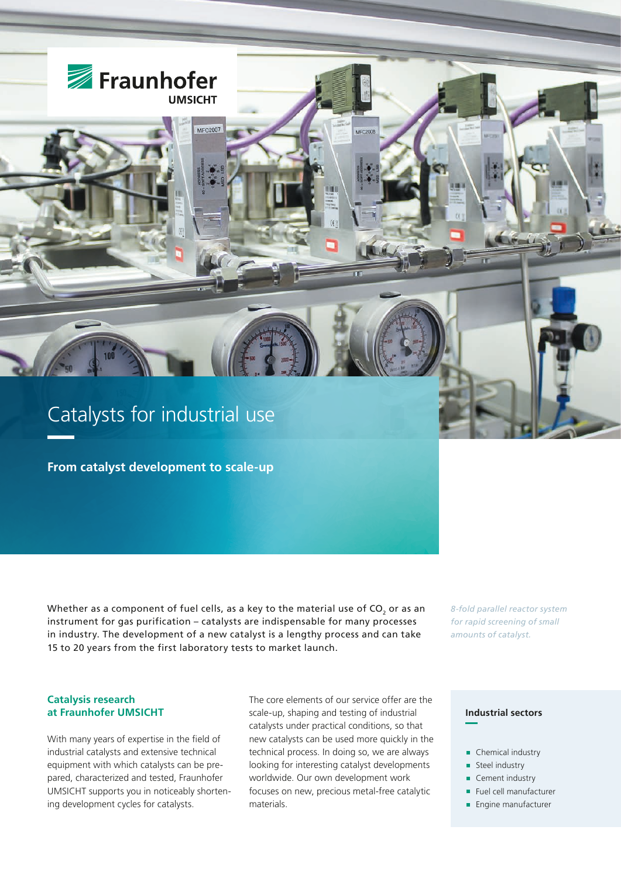

**From catalyst development to scale-up**

Whether as a component of fuel cells, as a key to the material use of  $CO$ , or as an instrument for gas purification – catalysts are indispensable for many processes in industry. The development of a new catalyst is a lengthy process and can take 15 to 20 years from the first laboratory tests to market launch.

*8-fold parallel reactor system for rapid screening of small amounts of catalyst.*

# **Catalysis research at Fraunhofer UMSICHT**

With many years of expertise in the field of industrial catalysts and extensive technical equipment with which catalysts can be prepared, characterized and tested, Fraunhofer UMSICHT supports you in noticeably shortening development cycles for catalysts.

The core elements of our service offer are the scale-up, shaping and testing of industrial catalysts under practical conditions, so that new catalysts can be used more quickly in the technical process. In doing so, we are always looking for interesting catalyst developments worldwide. Our own development work focuses on new, precious metal-free catalytic materials.

## **Industrial sectors**

- Chemical industry
- **Steel industry**
- Cement industry
- Fuel cell manufacturer
- **Engine manufacturer**